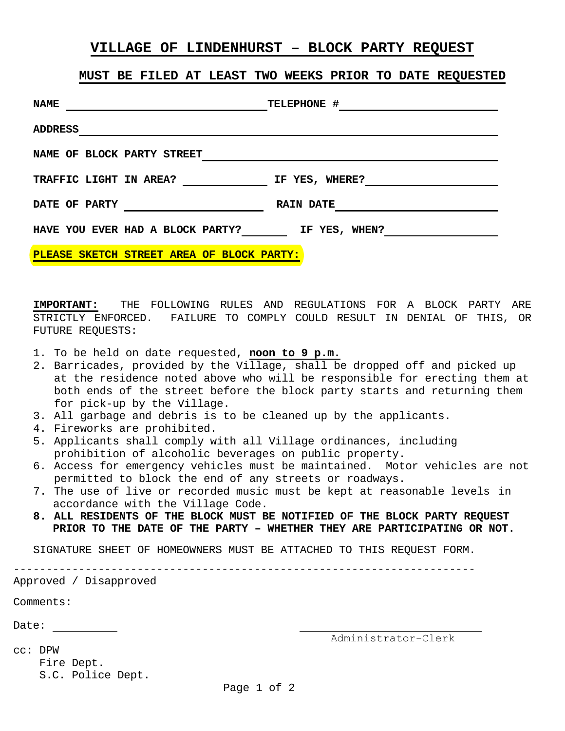## **VILLAGE OF LINDENHURST – BLOCK PARTY REQUEST**

## **MUST BE FILED AT LEAST TWO WEEKS PRIOR TO DATE REQUESTED**

| <b>NAME</b>                               | TELEPHONE #      |
|-------------------------------------------|------------------|
| <b>ADDRESS</b>                            |                  |
| NAME OF BLOCK PARTY STREET                |                  |
| TRAFFIC LIGHT IN AREA?                    | IF YES, WHERE?   |
| DATE OF PARTY                             | <b>RAIN DATE</b> |
| HAVE YOU EVER HAD A BLOCK PARTY?          | IF YES, WHEN?    |
| PLEASE SKETCH STREET AREA OF BLOCK PARTY: |                  |

**IMPORTANT:** THE FOLLOWING RULES AND REGULATIONS FOR A BLOCK PARTY ARE STRICTLY ENFORCED. FAILURE TO COMPLY COULD RESULT IN DENIAL OF THIS, OR FUTURE REQUESTS:

- 1. To be held on date requested, **noon to 9 p.m.**
- 2. Barricades, provided by the Village, shall be dropped off and picked up at the residence noted above who will be responsible for erecting them at both ends of the street before the block party starts and returning them for pick-up by the Village.
- 3. All garbage and debris is to be cleaned up by the applicants.
- 4. Fireworks are prohibited.
- 5. Applicants shall comply with all Village ordinances, including prohibition of alcoholic beverages on public property.
- 6. Access for emergency vehicles must be maintained. Motor vehicles are not permitted to block the end of any streets or roadways.
- 7. The use of live or recorded music must be kept at reasonable levels in accordance with the Village Code.
- **8. ALL RESIDENTS OF THE BLOCK MUST BE NOTIFIED OF THE BLOCK PARTY REQUEST PRIOR TO THE DATE OF THE PARTY – WHETHER THEY ARE PARTICIPATING OR NOT.**

SIGNATURE SHEET OF HOMEOWNERS MUST BE ATTACHED TO THIS REQUEST FORM.

-----------------------------------------------------------------------

## Approved / Disapproved

Comments:

Date:

Administrator-Clerk

cc: DPW

 Fire Dept. S.C. Police Dept.

Page 1 of 2